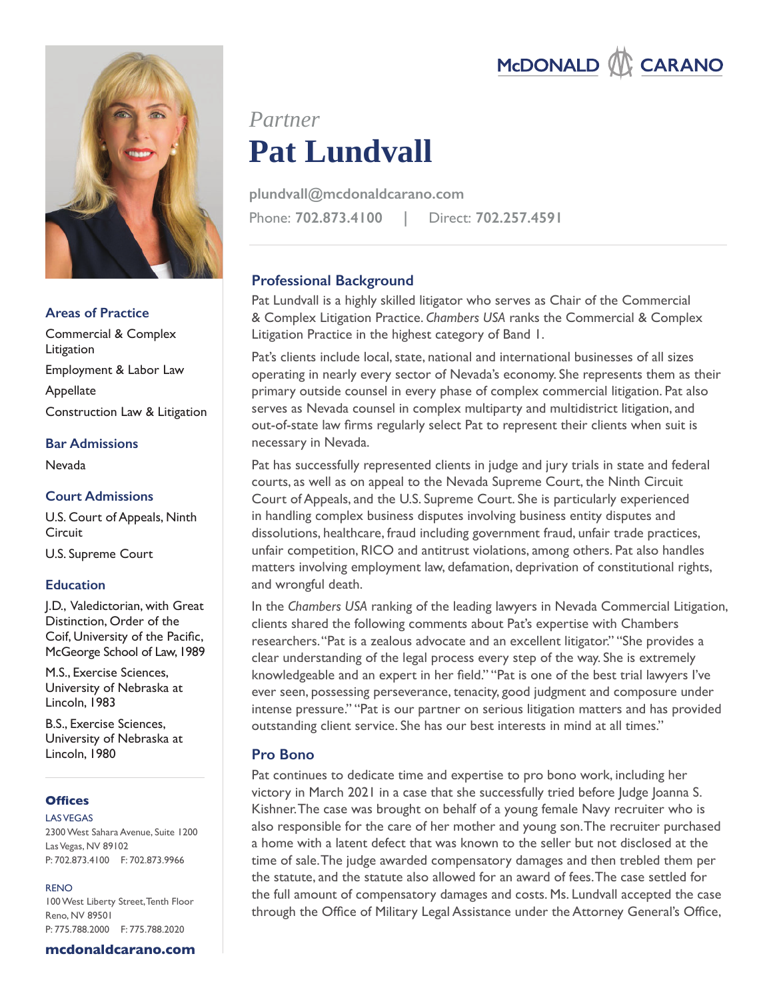

## **Areas of Practice**

Commercial & Complex **Litigation** Employment & Labor Law Appellate Construction Law & Litigation

## **Bar Admissions**

Nevada

# **Court Admissions**

U.S. Court of Appeals, Ninth **Circuit** 

U.S. Supreme Court

## **Education**

J.D., Valedictorian, with Great Distinction, Order of the Coif, University of the Pacific, McGeorge School of Law, 1989

M.S., Exercise Sciences, University of Nebraska at Lincoln, 1983

B.S., Exercise Sciences, University of Nebraska at Lincoln, 1980

## **Offices**

## LAS VEGAS

2300 West Sahara Avenue, Suite 1200 Las Vegas, NV 89102 P: 702.873.4100 F: 702.873.9966

## RENO

100 West Liberty Street, Tenth Floor Reno, NV 89501 P: 775.788.2000 F: 775.788.2020

**mcdonaldcarano.com**

# **Pat Lundvall** *Partner*

Phone: **702.873.4100 |** Direct: **702.257.4591 plundvall@mcdonaldcarano.com**

# **Professional Background**

Pat Lundvall is a highly skilled litigator who serves as Chair of the Commercial & Complex Litigation Practice. *Chambers USA* ranks the Commercial & Complex Litigation Practice in the highest category of Band 1.

Pat's clients include local, state, national and international businesses of all sizes operating in nearly every sector of Nevada's economy. She represents them as their primary outside counsel in every phase of complex commercial litigation. Pat also serves as Nevada counsel in complex multiparty and multidistrict litigation, and out-of-state law firms regularly select Pat to represent their clients when suit is necessary in Nevada.

Pat has successfully represented clients in judge and jury trials in state and federal courts, as well as on appeal to the Nevada Supreme Court, the Ninth Circuit Court of Appeals, and the U.S. Supreme Court. She is particularly experienced in handling complex business disputes involving business entity disputes and dissolutions, healthcare, fraud including government fraud, unfair trade practices, unfair competition, RICO and antitrust violations, among others. Pat also handles matters involving employment law, defamation, deprivation of constitutional rights, and wrongful death.

In the *Chambers USA* ranking of the leading lawyers in Nevada Commercial Litigation, clients shared the following comments about Pat's expertise with Chambers researchers. "Pat is a zealous advocate and an excellent litigator." "She provides a clear understanding of the legal process every step of the way. She is extremely knowledgeable and an expert in her field." "Pat is one of the best trial lawyers I've ever seen, possessing perseverance, tenacity, good judgment and composure under intense pressure." "Pat is our partner on serious litigation matters and has provided outstanding client service. She has our best interests in mind at all times."

# **Pro Bono**

Pat continues to dedicate time and expertise to pro bono work, including her victory in March 2021 in a case that she successfully tried before Judge Joanna S. Kishner. The case was brought on behalf of a young female Navy recruiter who is also responsible for the care of her mother and young son. The recruiter purchased a home with a latent defect that was known to the seller but not disclosed at the time of sale. The judge awarded compensatory damages and then trebled them per the statute, and the statute also allowed for an award of fees. The case settled for the full amount of compensatory damages and costs. Ms. Lundvall accepted the case through the Office of Military Legal Assistance under the Attorney General's Office,

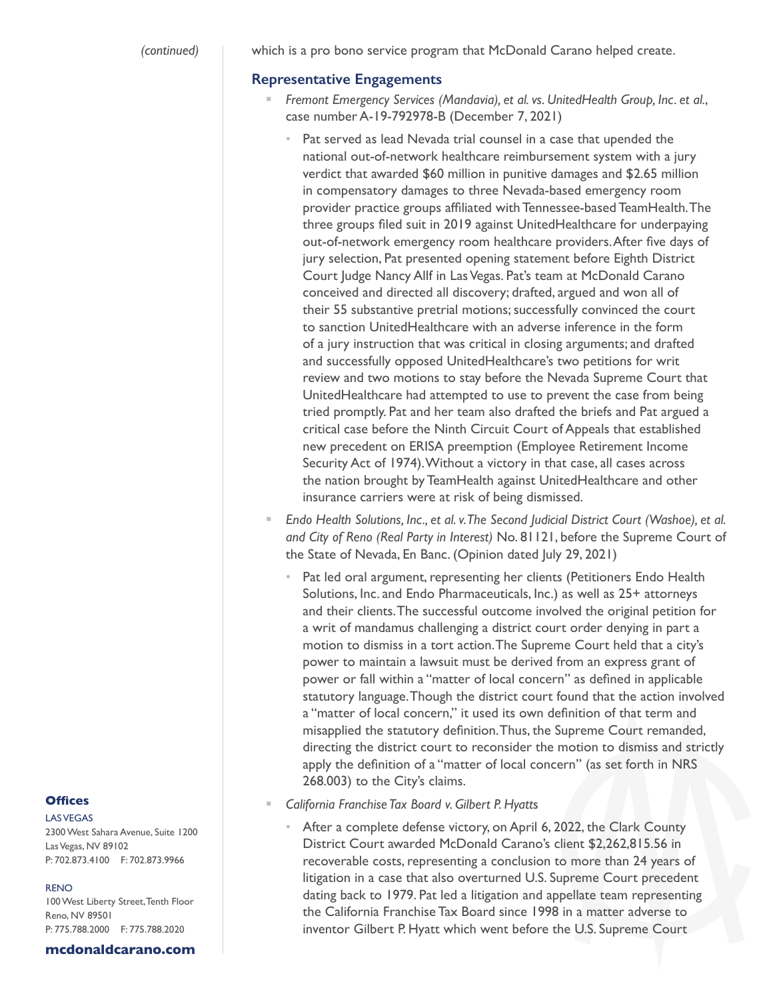which is a pro bono service program that McDonald Carano helped create.

## **Representative Engagements**

- *Fremont Emergency Services (Mandavia), et al. vs. UnitedHealth Group, Inc. et al.*, case number A-19-792978-B (December 7, 2021)
	- Pat served as lead Nevada trial counsel in a case that upended the national out-of-network healthcare reimbursement system with a jury verdict that awarded \$60 million in punitive damages and \$2.65 million in compensatory damages to three Nevada-based emergency room provider practice groups affiliated with Tennessee-based TeamHealth. The three groups filed suit in 2019 against UnitedHealthcare for underpaying out-of-network emergency room healthcare providers. After five days of jury selection, Pat presented opening statement before Eighth District Court Judge Nancy Allf in Las Vegas. Pat's team at McDonald Carano conceived and directed all discovery; drafted, argued and won all of their 55 substantive pretrial motions; successfully convinced the court to sanction UnitedHealthcare with an adverse inference in the form of a jury instruction that was critical in closing arguments; and drafted and successfully opposed UnitedHealthcare's two petitions for writ review and two motions to stay before the Nevada Supreme Court that UnitedHealthcare had attempted to use to prevent the case from being tried promptly. Pat and her team also drafted the briefs and Pat argued a critical case before the Ninth Circuit Court of Appeals that established new precedent on ERISA preemption (Employee Retirement Income Security Act of 1974). Without a victory in that case, all cases across the nation brought by TeamHealth against UnitedHealthcare and other insurance carriers were at risk of being dismissed.
- *Endo Health Solutions, Inc., et al. v. The Second Judicial District Court (Washoe), et al. and City of Reno (Real Party in Interest)* No. 81121, before the Supreme Court of the State of Nevada, En Banc. (Opinion dated July 29, 2021)
	- Pat led oral argument, representing her clients (Petitioners Endo Health Solutions, Inc. and Endo Pharmaceuticals, Inc.) as well as 25+ attorneys and their clients. The successful outcome involved the original petition for a writ of mandamus challenging a district court order denying in part a motion to dismiss in a tort action. The Supreme Court held that a city's power to maintain a lawsuit must be derived from an express grant of power or fall within a "matter of local concern" as defined in applicable statutory language. Though the district court found that the action involved a "matter of local concern," it used its own definition of that term and misapplied the statutory definition. Thus, the Supreme Court remanded, directing the district court to reconsider the motion to dismiss and strictly apply the definition of a "matter of local concern" (as set forth in NRS 268.003) to the City's claims.
- *California Franchise Tax Board v. Gilbert P. Hyatt*s
	- After a complete defense victory, on April 6, 2022, the Clark County District Court awarded McDonald Carano's client \$2,262,815.56 in recoverable costs, representing a conclusion to more than 24 years of litigation in a case that also overturned U.S. Supreme Court precedent dating back to 1979. Pat led a litigation and appellate team representing the California Franchise Tax Board since 1998 in a matter adverse to inventor Gilbert P. Hyatt which went before the U.S. Supreme Court

### **Offices**

LAS VEGAS 2300 West Sahara Avenue, Suite 1200 Las Vegas, NV 89102 P: 702.873.4100 F: 702.873.9966

#### RENO

100 West Liberty Street, Tenth Floor Reno, NV 89501 P: 775.788.2000 F: 775.788.2020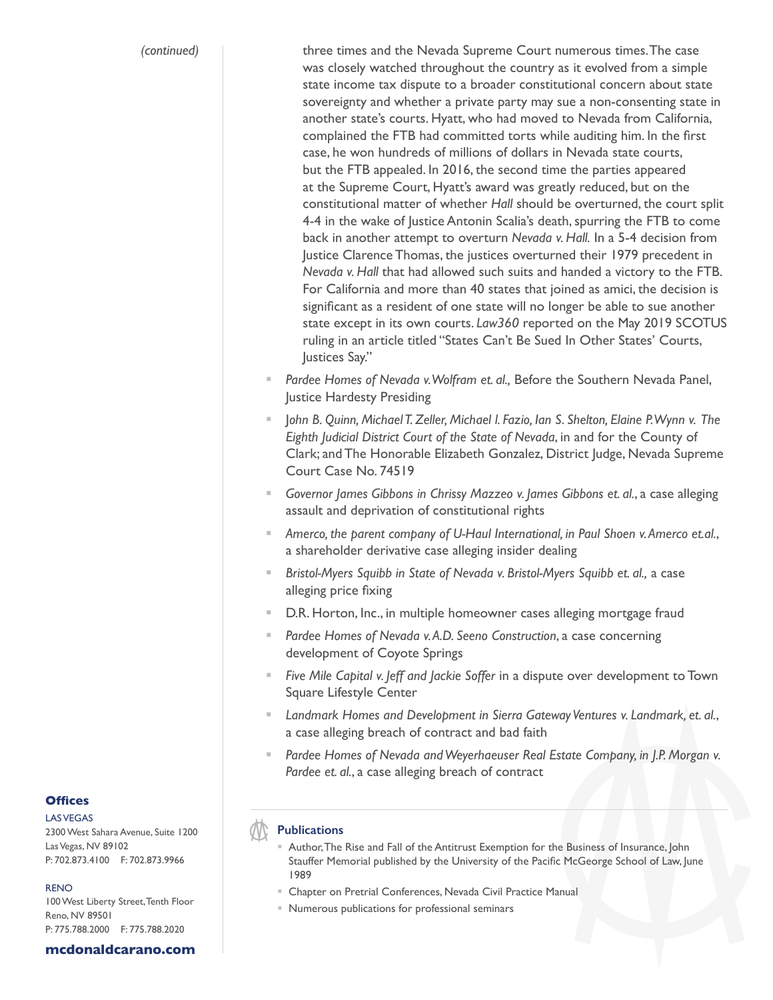*(continued)*

three times and the Nevada Supreme Court numerous times. The case was closely watched throughout the country as it evolved from a simple state income tax dispute to a broader constitutional concern about state sovereignty and whether a private party may sue a non-consenting state in another state's courts. Hyatt, who had moved to Nevada from California, complained the FTB had committed torts while auditing him. In the first case, he won hundreds of millions of dollars in Nevada state courts, but the FTB appealed. In 2016, the second time the parties appeared at the Supreme Court, Hyatt's award was greatly reduced, but on the constitutional matter of whether *Hall* should be overturned, the court split 4-4 in the wake of Justice Antonin Scalia's death, spurring the FTB to come back in another attempt to overturn *Nevada v. Hall.* In a 5-4 decision from Justice Clarence Thomas, the justices overturned their 1979 precedent in *Nevada v. Hall* that had allowed such suits and handed a victory to the FTB. For California and more than 40 states that joined as amici, the decision is significant as a resident of one state will no longer be able to sue another state except in its own courts. *Law360* reported on the May 2019 SCOTUS ruling in an article titled "States Can't Be Sued In Other States' Courts, Justices Say."

- *Pardee Homes of Nevada v. Wolfram et. al.,* Before the Southern Nevada Panel, Justice Hardesty Presiding
- J*ohn B. Quinn, Michael T. Zeller, Michael l. Fazio, Ian S. Shelton, Elaine P. Wynn v. The Eighth Judicial District Court of the State of Nevada*, in and for the County of Clark; and The Honorable Elizabeth Gonzalez, District Judge, Nevada Supreme Court Case No. 74519
- *Governor James Gibbons in Chrissy Mazzeo v. James Gibbons et. al.*, a case alleging assault and deprivation of constitutional rights
- *Amerco, the parent company of U-Haul International, in Paul Shoen v. Amerco et.al.*, a shareholder derivative case alleging insider dealing
- *Bristol-Myers Squibb in State of Nevada v. Bristol-Myers Squibb et. al.,* a case alleging price fixing
- D.R. Horton, Inc., in multiple homeowner cases alleging mortgage fraud
- *Pardee Homes of Nevada v. A.D. Seeno Construction*, a case concerning development of Coyote Springs
- *Five Mile Capital v. Jeff and Jackie Soffer* in a dispute over development to Town Square Lifestyle Center
- *Landmark Homes and Development in Sierra Gateway Ventures v. Landmark, et. al.*, a case alleging breach of contract and bad faith
- Pardee Homes of Nevada and Weyerhaeuser Real Estate Company, in J.P. Morgan v. *Pardee et. al.*, a case alleging breach of contract

## **Publications**

- Author, The Rise and Fall of the Antitrust Exemption for the Business of Insurance, John Stauffer Memorial published by the University of the Pacific McGeorge School of Law, June 1989
- Chapter on Pretrial Conferences, Nevada Civil Practice Manual
- Numerous publications for professional seminars

## **Offices**

**LAS VEGAS** 2300 West Sahara Avenue, Suite 1200 Las Vegas, NV 89102 P: 702.873.4100 F: 702.873.9966

#### RENO

100 West Liberty Street, Tenth Floor Reno, NV 89501 P: 775.788.2000 F: 775.788.2020